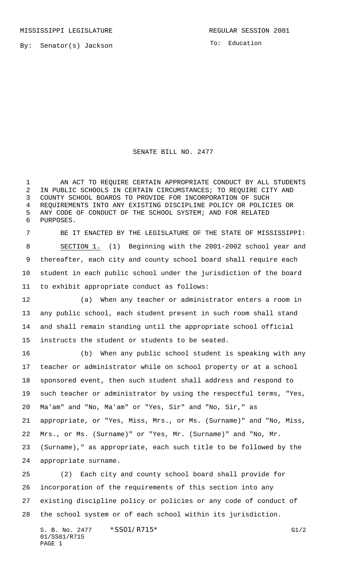By: Senator(s) Jackson

To: Education

SENATE BILL NO. 2477

1 AN ACT TO REQUIRE CERTAIN APPROPRIATE CONDUCT BY ALL STUDENTS IN PUBLIC SCHOOLS IN CERTAIN CIRCUMSTANCES; TO REQUIRE CITY AND COUNTY SCHOOL BOARDS TO PROVIDE FOR INCORPORATION OF SUCH REQUIREMENTS INTO ANY EXISTING DISCIPLINE POLICY OR POLICIES OR ANY CODE OF CONDUCT OF THE SCHOOL SYSTEM; AND FOR RELATED PURPOSES.

 BE IT ENACTED BY THE LEGISLATURE OF THE STATE OF MISSISSIPPI: SECTION 1. (1) Beginning with the 2001-2002 school year and thereafter, each city and county school board shall require each student in each public school under the jurisdiction of the board to exhibit appropriate conduct as follows:

 (a) When any teacher or administrator enters a room in any public school, each student present in such room shall stand and shall remain standing until the appropriate school official instructs the student or students to be seated.

 (b) When any public school student is speaking with any teacher or administrator while on school property or at a school sponsored event, then such student shall address and respond to such teacher or administrator by using the respectful terms, "Yes, Ma'am" and "No, Ma'am" or "Yes, Sir" and "No, Sir," as appropriate, or "Yes, Miss, Mrs., or Ms. (Surname)" and "No, Miss, Mrs., or Ms. (Surname)" or "Yes, Mr. (Surname)" and "No, Mr. (Surname)," as appropriate, each such title to be followed by the appropriate surname.

 (2) Each city and county school board shall provide for incorporation of the requirements of this section into any existing discipline policy or policies or any code of conduct of the school system or of each school within its jurisdiction.

S. B. No. 2477 \* SS01/R715\* G1/2 01/SS01/R715 PAGE 1